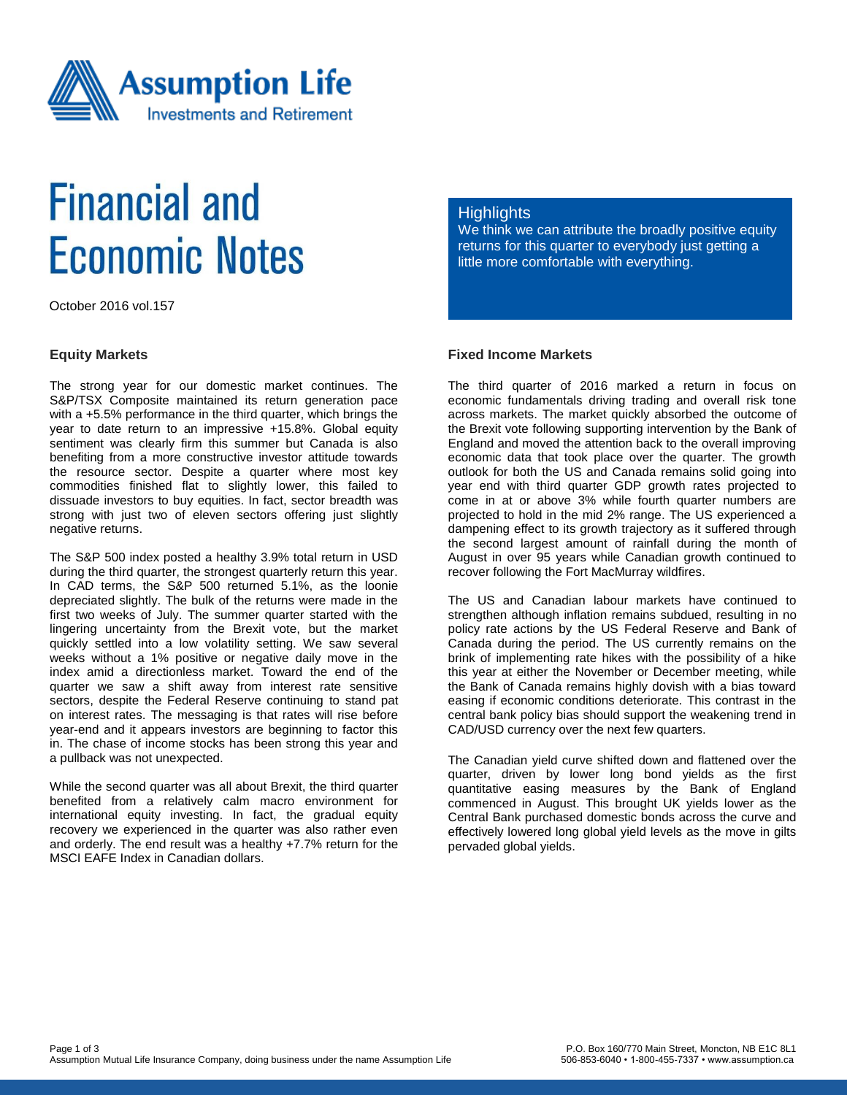

# **Financial and Economic Notes**

October 2016 vol.157

#### **Equity Markets**

The strong year for our domestic market continues. The S&P/TSX Composite maintained its return generation pace with a +5.5% performance in the third quarter, which brings the year to date return to an impressive +15.8%. Global equity sentiment was clearly firm this summer but Canada is also benefiting from a more constructive investor attitude towards the resource sector. Despite a quarter where most key commodities finished flat to slightly lower, this failed to dissuade investors to buy equities. In fact, sector breadth was strong with just two of eleven sectors offering just slightly negative returns.

The S&P 500 index posted a healthy 3.9% total return in USD during the third quarter, the strongest quarterly return this year. In CAD terms, the S&P 500 returned 5.1%, as the loonie depreciated slightly. The bulk of the returns were made in the first two weeks of July. The summer quarter started with the lingering uncertainty from the Brexit vote, but the market quickly settled into a low volatility setting. We saw several weeks without a 1% positive or negative daily move in the index amid a directionless market. Toward the end of the quarter we saw a shift away from interest rate sensitive sectors, despite the Federal Reserve continuing to stand pat on interest rates. The messaging is that rates will rise before year-end and it appears investors are beginning to factor this in. The chase of income stocks has been strong this year and a pullback was not unexpected.

While the second quarter was all about Brexit, the third quarter benefited from a relatively calm macro environment for international equity investing. In fact, the gradual equity recovery we experienced in the quarter was also rather even and orderly. The end result was a healthy +7.7% return for the MSCI EAFE Index in Canadian dollars.

### **Highlights**

We think we can attribute the broadly positive equity returns for this quarter to everybody just getting a little more comfortable with everything.

# **Fixed Income Markets**

The third quarter of 2016 marked a return in focus on economic fundamentals driving trading and overall risk tone across markets. The market quickly absorbed the outcome of the Brexit vote following supporting intervention by the Bank of England and moved the attention back to the overall improving economic data that took place over the quarter. The growth outlook for both the US and Canada remains solid going into year end with third quarter GDP growth rates projected to come in at or above 3% while fourth quarter numbers are projected to hold in the mid 2% range. The US experienced a dampening effect to its growth trajectory as it suffered through the second largest amount of rainfall during the month of August in over 95 years while Canadian growth continued to recover following the Fort MacMurray wildfires.

The US and Canadian labour markets have continued to strengthen although inflation remains subdued, resulting in no policy rate actions by the US Federal Reserve and Bank of Canada during the period. The US currently remains on the brink of implementing rate hikes with the possibility of a hike this year at either the November or December meeting, while the Bank of Canada remains highly dovish with a bias toward easing if economic conditions deteriorate. This contrast in the central bank policy bias should support the weakening trend in CAD/USD currency over the next few quarters.

The Canadian yield curve shifted down and flattened over the quarter, driven by lower long bond yields as the first quantitative easing measures by the Bank of England commenced in August. This brought UK yields lower as the Central Bank purchased domestic bonds across the curve and effectively lowered long global yield levels as the move in gilts pervaded global yields.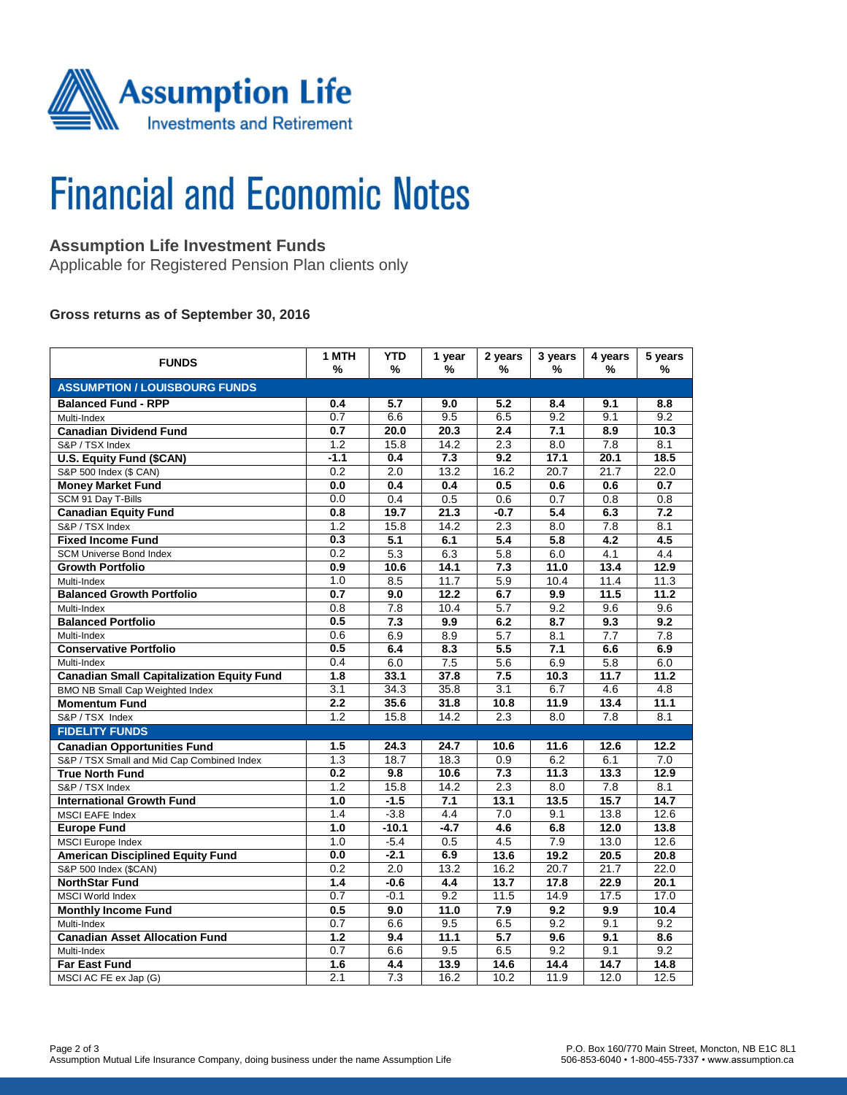

# **Financial and Economic Notes**

# **Assumption Life Investment Funds**

Applicable for Registered Pension Plan clients only

#### **Gross returns as of September 30, 2016**

| <b>FUNDS</b>                                     | 1 MTH<br>%       | <b>YTD</b><br>%  | 1 year<br>% | 2 years<br>%     | 3 years<br>% | 4 years<br>%     | 5 years<br>%     |  |  |  |  |
|--------------------------------------------------|------------------|------------------|-------------|------------------|--------------|------------------|------------------|--|--|--|--|
| <b>ASSUMPTION / LOUISBOURG FUNDS</b>             |                  |                  |             |                  |              |                  |                  |  |  |  |  |
| <b>Balanced Fund - RPP</b>                       | 0.4              | 5.7              | 9.0         | 5.2              | 8.4          | 9.1              | 8.8              |  |  |  |  |
| Multi-Index                                      | 0.7              | 6.6              | 9.5         | 6.5              | 9.2          | 9.1              | 9.2              |  |  |  |  |
| <b>Canadian Dividend Fund</b>                    | 0.7              | 20.0             | 20.3        | 2.4              | 7.1          | 8.9              | 10.3             |  |  |  |  |
| S&P / TSX Index                                  | $\overline{1.2}$ | 15.8             | 14.2        | 2.3              | 8.0          | $\overline{7.8}$ | 8.1              |  |  |  |  |
| <b>U.S. Equity Fund (\$CAN)</b>                  | $-1.1$           | 0.4              | 7.3         | 9.2              | 17.1         | 20.1             | 18.5             |  |  |  |  |
| S&P 500 Index (\$ CAN)                           | 0.2              | 2.0              | 13.2        | 16.2             | 20.7         | 21.7             | 22.0             |  |  |  |  |
| <b>Money Market Fund</b>                         | 0.0              | 0.4              | 0.4         | 0.5              | 0.6          | 0.6              | 0.7              |  |  |  |  |
| SCM 91 Day T-Bills                               | 0.0              | 0.4              | 0.5         | 0.6              | 0.7          | 0.8              | 0.8              |  |  |  |  |
| <b>Canadian Equity Fund</b>                      | 0.8              | 19.7             | 21.3        | $-0.7$           | 5.4          | 6.3              | 7.2              |  |  |  |  |
| S&P / TSX Index                                  | 1.2              | 15.8             | 14.2        | 2.3              | 8.0          | 7.8              | 8.1              |  |  |  |  |
| <b>Fixed Income Fund</b>                         | 0.3              | 5.1              | 6.1         | 5.4              | 5.8          | 4.2              | 4.5              |  |  |  |  |
| <b>SCM Universe Bond Index</b>                   | 0.2              | 5.3              | 6.3         | 5.8              | 6.0          | 4.1              | 4.4              |  |  |  |  |
| <b>Growth Portfolio</b>                          | 0.9              | 10.6             | 14.1        | 7.3              | 11.0         | 13.4             | 12.9             |  |  |  |  |
| Multi-Index                                      | 1.0              | 8.5              | 11.7        | 5.9              | 10.4         | 11.4             | 11.3             |  |  |  |  |
| <b>Balanced Growth Portfolio</b>                 | 0.7              | 9.0              | 12.2        | 6.7              | 9.9          | 11.5             | 11.2             |  |  |  |  |
| Multi-Index                                      | $\overline{0.8}$ | $\overline{7.8}$ | 10.4        | $\overline{5.7}$ | 9.2          | 9.6              | 9.6              |  |  |  |  |
| <b>Balanced Portfolio</b>                        | 0.5              | $\overline{7.3}$ | 9.9         | 6.2              | 8.7          | 9.3              | 9.2              |  |  |  |  |
| Multi-Index                                      | 0.6              | 6.9              | 8.9         | 5.7              | 8.1          | 7.7              | $\overline{7.8}$ |  |  |  |  |
| <b>Conservative Portfolio</b>                    | 0.5              | 6.4              | 8.3         | 5.5              | 7.1          | 6.6              | 6.9              |  |  |  |  |
| Multi-Index                                      | 0.4              | 6.0              | 7.5         | 5.6              | 6.9          | 5.8              | 6.0              |  |  |  |  |
| <b>Canadian Small Capitalization Equity Fund</b> | $\overline{1.8}$ | 33.1             | 37.8        | $\overline{7.5}$ | 10.3         | 11.7             | 11.2             |  |  |  |  |
| <b>BMO NB Small Cap Weighted Index</b>           | 3.1              | 34.3             | 35.8        | 3.1              | 6.7          | 4.6              | 4.8              |  |  |  |  |
| <b>Momentum Fund</b>                             | 2.2              | 35.6             | 31.8        | 10.8             | 11.9         | 13.4             | 11.1             |  |  |  |  |
| S&P / TSX Index                                  | 1.2              | 15.8             | 14.2        | 2.3              | 8.0          | 7.8              | 8.1              |  |  |  |  |
| <b>FIDELITY FUNDS</b>                            |                  |                  |             |                  |              |                  |                  |  |  |  |  |
| <b>Canadian Opportunities Fund</b>               | 1.5              | 24.3             | 24.7        | 10.6             | 11.6         | 12.6             | 12.2             |  |  |  |  |
| S&P / TSX Small and Mid Cap Combined Index       | 1.3              | 18.7             | 18.3        | 0.9              | 6.2          | 6.1              | 7.0              |  |  |  |  |
| <b>True North Fund</b>                           | 0.2              | 9.8              | 10.6        | 7.3              | 11.3         | 13.3             | 12.9             |  |  |  |  |
| S&P / TSX Index                                  | 1.2              | 15.8             | 14.2        | $\overline{2.3}$ | 8.0          | 7.8              | 8.1              |  |  |  |  |
| <b>International Growth Fund</b>                 | 1.0              | $-1.5$           | 7.1         | 13.1             | 13.5         | 15.7             | 14.7             |  |  |  |  |
| <b>MSCI EAFE Index</b>                           | 1.4              | $-3.8$           | 4.4         | 7.0              | 9.1          | 13.8             | 12.6             |  |  |  |  |
| <b>Europe Fund</b>                               | 1.0              | $-10.1$          | $-4.7$      | 4.6              | 6.8          | 12.0             | 13.8             |  |  |  |  |
| <b>MSCI</b> Europe Index                         | 1.0              | $-5.4$           | 0.5         | 4.5              | 7.9          | 13.0             | 12.6             |  |  |  |  |
| <b>American Disciplined Equity Fund</b>          | 0.0              | $-2.1$           | 6.9         | 13.6             | 19.2         | 20.5             | 20.8             |  |  |  |  |
| S&P 500 Index (\$CAN)                            | 0.2              | 2.0              | 13.2        | 16.2             | 20.7         | 21.7             | 22.0             |  |  |  |  |
| <b>NorthStar Fund</b>                            | $\overline{1.4}$ | $-0.6$           | 4.4         | 13.7             | 17.8         | 22.9             | 20.1             |  |  |  |  |
| <b>MSCI World Index</b>                          | 0.7              | $-0.1$           | 9.2         | 11.5             | 14.9         | 17.5             | 17.0             |  |  |  |  |
| <b>Monthly Income Fund</b>                       | 0.5              | 9.0              | 11.0        | 7.9              | 9.2          | 9.9              | 10.4             |  |  |  |  |
| Multi-Index                                      | $\overline{0.7}$ | 6.6              | 9.5         | 6.5              | 9.2          | 9.1              | 9.2              |  |  |  |  |
| <b>Canadian Asset Allocation Fund</b>            | 1.2              | 9.4              | 11.1        | 5.7              | 9.6          | 9.1              | 8.6              |  |  |  |  |
| Multi-Index                                      | 0.7              | 6.6              | 9.5         | 6.5              | 9.2          | 9.1              | 9.2              |  |  |  |  |
| <b>Far East Fund</b>                             | 1.6              | 4.4              | 13.9        | 14.6             | 14.4         | 14.7             | 14.8             |  |  |  |  |
| MSCI AC FE ex Jap (G)                            | 2.1              | 7.3              | 16.2        | 10.2             | 11.9         | 12.0             | 12.5             |  |  |  |  |